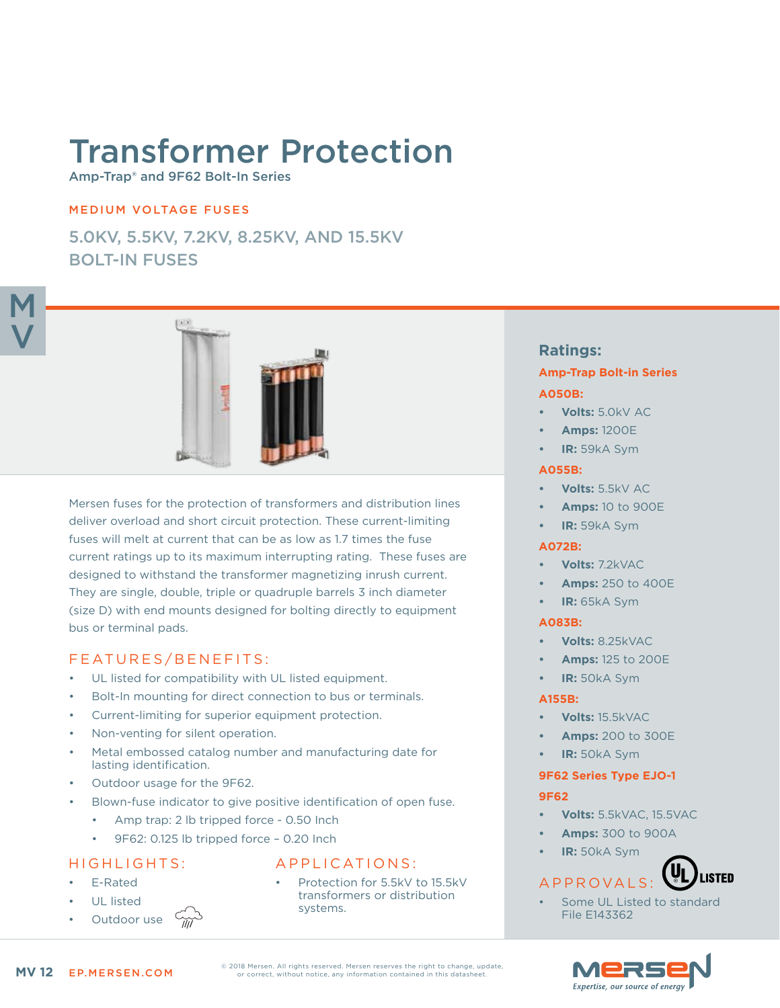# Transformer Protection

Amp-Trap® and 9F62 Bolt-In Series

## MEDIUM VOLTAGE FUSES

5.0KV, 5.5KV, 7.2KV, 8.25KV, AND 15.5KV BOLT-IN FUSES



Mersen fuses for the protection of transformers and distribution lines deliver overload and short circuit protection. These current-limiting fuses will melt at current that can be as low as 1.7 times the fuse current ratings up to its maximum interrupting rating. These fuses are designed to withstand the transformer magnetizing inrush current. They are single, double, triple or quadruple barrels 3 inch diameter (size D) with end mounts designed for bolting directly to equipment bus or terminal pads.

# FEATURES/BENEFITS:

- UL listed for compatibility with UL listed equipment.
- Bolt-In mounting for direct connection to bus or terminals.
- Current-limiting for superior equipment protection.
- Non-venting for silent operation.
- Metal embossed catalog number and manufacturing date for lasting identification.
- Outdoor usage for the 9F62.
- Blown-fuse indicator to give positive identification of open fuse.
	- Amp trap: 2 lb tripped force 0.50 lnch
	- 9F62: 0.125 lb tripped force 0.20 Inch

#### HIGHLIGHTS:

- E-Rated
	- UL listed
- Outdoor use

# APPLICATIONS:

Protection for 5.5kV to 15.5kV transformers or distribution systems.

# **Ratings:**

# **Amp-Trap Bolt-in Series A050B:**

- **• Volts:** 5.0kV AC
- **• Amps:** 1200E
- **• IR:** 59kA Sym

#### **A055B:**

- **• Volts:** 5.5kV AC
- **• Amps:** 10 to 900E
- **• IR:** 59kA Sym

## **A072B:**

- **• Volts:** 7.2kVAC
- **• Amps:** 250 to 400E
- **• IR:** 65kA Sym

#### **A083B:**

- **• Volts:** 8.25kVAC
- **• Amps:** 125 to 200E
- **• IR:** 50kA Sym

#### **A155B:**

- **• Volts:** 15.5kVAC
- **• Amps:** 200 to 300E
- **• IR:** 50kA Sym

# **9F62 Series Type EJO-1**

#### **9F62**

- **• Volts:** 5.5kVAC, 15.5VAC
- **• Amps:** 300 to 900A
- **• IR:** 50kA Sym

#### **LISTED** APPROVALS:

Some UL Listed to standard File E143362



© 2018 Mersen. All rights reserved. Mersen reserves the right to change, update, or correct, without notice, any information contained in this datasheet.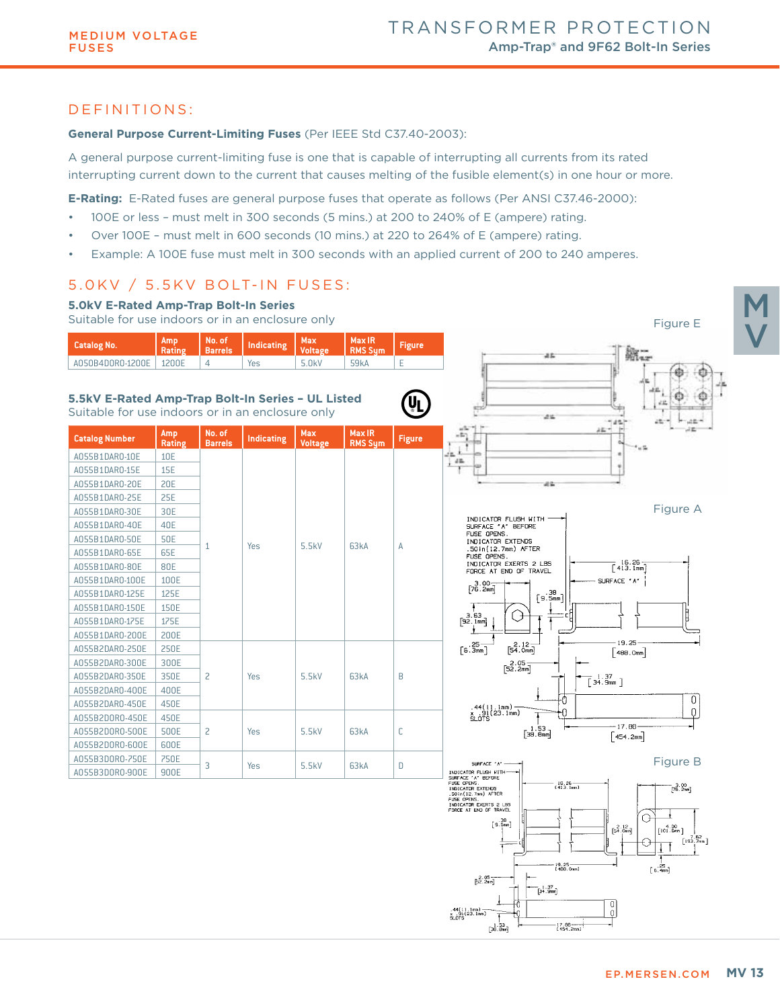# DEFINITIONS:

#### **General Purpose Current-Limiting Fuses** (Per IEEE Std C37.40-2003):

A general purpose current-limiting fuse is one that is capable of interrupting all currents from its rated interrupting current down to the current that causes melting of the fusible element(s) in one hour or more.

**E-Rating:** E-Rated fuses are general purpose fuses that operate as follows (Per ANSI C37.46-2000):

- 100E or less must melt in 300 seconds (5 mins.) at 200 to 240% of E (ampere) rating.
- Over 100E must melt in 600 seconds (10 mins.) at 220 to 264% of E (ampere) rating.
- Example: A 100E fuse must melt in 300 seconds with an applied current of 200 to 240 amperes.

# 5.0KV / 5.5KV BOLT-IN FUSES:



 $\begin{bmatrix} 1 & 53 \\ 36 & 8 \end{bmatrix}$ 

 $17.88 -$ <br>1454.2mm

M

V